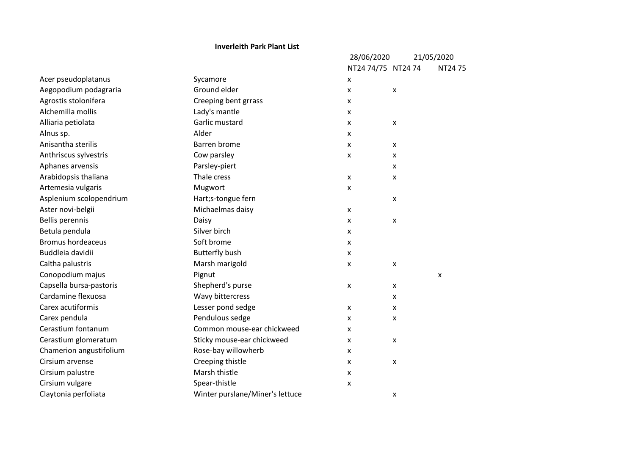## **Inverleith Park Plant List**

|                          |                                 | 28/06/2020         |                    | 21/05/2020 |  |
|--------------------------|---------------------------------|--------------------|--------------------|------------|--|
|                          |                                 | NT24 74/75 NT24 74 |                    | NT2475     |  |
| Acer pseudoplatanus      | Sycamore                        | x                  |                    |            |  |
| Aegopodium podagraria    | Ground elder                    | X                  | X                  |            |  |
| Agrostis stolonifera     | Creeping bent grrass            | x                  |                    |            |  |
| Alchemilla mollis        | Lady's mantle                   | x                  |                    |            |  |
| Alliaria petiolata       | Garlic mustard                  | x                  | X                  |            |  |
| Alnus sp.                | Alder                           | x                  |                    |            |  |
| Anisantha sterilis       | Barren brome                    | x                  | $\pmb{\mathsf{x}}$ |            |  |
| Anthriscus sylvestris    | Cow parsley                     | x                  | X                  |            |  |
| Aphanes arvensis         | Parsley-piert                   |                    | $\pmb{\times}$     |            |  |
| Arabidopsis thaliana     | Thale cress                     | x                  | X                  |            |  |
| Artemesia vulgaris       | Mugwort                         | x                  |                    |            |  |
| Asplenium scolopendrium  | Hart;s-tongue fern              |                    | $\pmb{\times}$     |            |  |
| Aster novi-belgii        | Michaelmas daisy                | X                  |                    |            |  |
| Bellis perennis          | Daisy                           | x                  | $\pmb{\times}$     |            |  |
| Betula pendula           | Silver birch                    | x                  |                    |            |  |
| <b>Bromus hordeaceus</b> | Soft brome                      | x                  |                    |            |  |
| Buddleia davidii         | <b>Butterfly bush</b>           | x                  |                    |            |  |
| Caltha palustris         | Marsh marigold                  | x                  | $\pmb{\times}$     |            |  |
| Conopodium majus         | Pignut                          |                    |                    | X          |  |
| Capsella bursa-pastoris  | Shepherd's purse                | x                  | X                  |            |  |
| Cardamine flexuosa       | Wavy bittercress                |                    | X                  |            |  |
| Carex acutiformis        | Lesser pond sedge               | x                  | X                  |            |  |
| Carex pendula            | Pendulous sedge                 | x                  | X                  |            |  |
| Cerastium fontanum       | Common mouse-ear chickweed      | x                  |                    |            |  |
| Cerastium glomeratum     | Sticky mouse-ear chickweed      | x                  | $\pmb{\mathsf{x}}$ |            |  |
| Chamerion angustifolium  | Rose-bay willowherb             | x                  |                    |            |  |
| Cirsium arvense          | Creeping thistle                | x                  | $\pmb{\mathsf{x}}$ |            |  |
| Cirsium palustre         | Marsh thistle                   | x                  |                    |            |  |
| Cirsium vulgare          | Spear-thistle                   | X                  |                    |            |  |
| Claytonia perfoliata     | Winter purslane/Miner's lettuce |                    | X                  |            |  |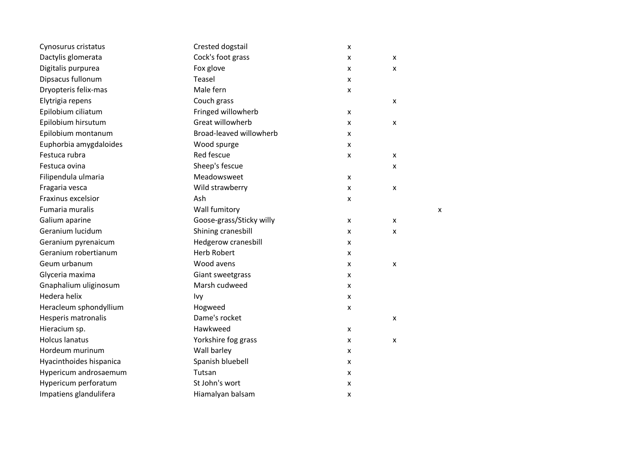| Cynosurus cristatus     | Crested dogstail         | X                  |                    |
|-------------------------|--------------------------|--------------------|--------------------|
| Dactylis glomerata      | Cock's foot grass        | X                  | X                  |
| Digitalis purpurea      | Fox glove                | $\pmb{\mathsf{X}}$ | X                  |
| Dipsacus fullonum       | Teasel                   | $\pmb{\mathsf{X}}$ |                    |
| Dryopteris felix-mas    | Male fern                | X                  |                    |
| Elytrigia repens        | Couch grass              |                    | x                  |
| Epilobium ciliatum      | Fringed willowherb       | X                  |                    |
| Epilobium hirsutum      | Great willowherb         | X                  | x                  |
| Epilobium montanum      | Broad-leaved willowherb  | X                  |                    |
| Euphorbia amygdaloides  | Wood spurge              | X                  |                    |
| Festuca rubra           | Red fescue               | X                  | $\pmb{\times}$     |
| Festuca ovina           | Sheep's fescue           |                    | $\pmb{\mathsf{x}}$ |
| Filipendula ulmaria     | Meadowsweet              | $\pmb{\mathsf{X}}$ |                    |
| Fragaria vesca          | Wild strawberry          | X                  | $\pmb{\times}$     |
| Fraxinus excelsior      | Ash                      | X                  |                    |
| Fumaria muralis         | Wall fumitory            |                    | X                  |
| Galium aparine          | Goose-grass/Sticky willy | X                  | $\pmb{\mathsf{x}}$ |
| Geranium lucidum        | Shining cranesbill       | X                  | X                  |
| Geranium pyrenaicum     | Hedgerow cranesbill      | X                  |                    |
| Geranium robertianum    | <b>Herb Robert</b>       | X                  |                    |
| Geum urbanum            | Wood avens               | X                  | X                  |
| Glyceria maxima         | Giant sweetgrass         | X                  |                    |
| Gnaphalium uliginosum   | Marsh cudweed            | X                  |                    |
| Hedera helix            | Ivy                      | X                  |                    |
| Heracleum sphondyllium  | Hogweed                  | X                  |                    |
| Hesperis matronalis     | Dame's rocket            |                    | X                  |
| Hieracium sp.           | Hawkweed                 | X                  |                    |
| <b>Holcus lanatus</b>   | Yorkshire fog grass      | X                  | x                  |
| Hordeum murinum         | Wall barley              | X                  |                    |
| Hyacinthoides hispanica | Spanish bluebell         | x                  |                    |
| Hypericum androsaemum   | Tutsan                   | X                  |                    |
| Hypericum perforatum    | St John's wort           | X                  |                    |
| Impatiens glandulifera  | Hiamalyan balsam         | X                  |                    |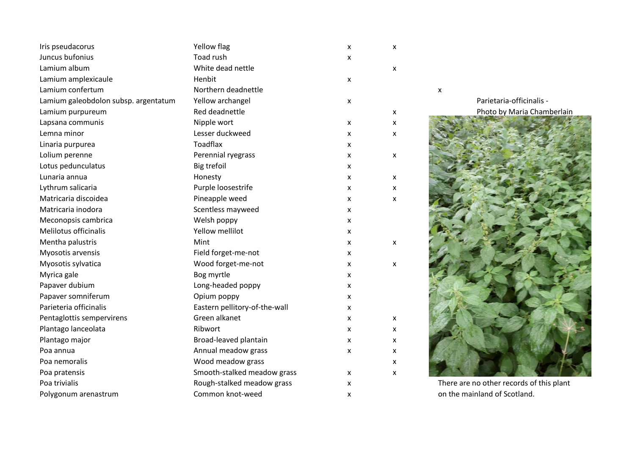| Iris pseudacorus                     | Yellow flag                   | X | x |   |
|--------------------------------------|-------------------------------|---|---|---|
| Juncus bufonius                      | <b>Toad rush</b>              | X |   |   |
| Lamium album                         | White dead nettle             |   | X |   |
| Lamium amplexicaule                  | Henbit                        | X |   |   |
| Lamium confertum                     | Northern deadnettle           |   |   | X |
| Lamium galeobdolon subsp. argentatum | Yellow archangel              | X |   |   |
| Lamium purpureum                     | Red deadnettle                |   | X |   |
| Lapsana communis                     | Nipple wort                   | X | X |   |
| Lemna minor                          | Lesser duckweed               | X | x |   |
| Linaria purpurea                     | <b>Toadflax</b>               | X |   |   |
| Lolium perenne                       | Perennial ryegrass            | X | x |   |
| Lotus pedunculatus                   | <b>Big trefoil</b>            | X |   |   |
| Lunaria annua                        | Honesty                       | X | X |   |
| Lythrum salicaria                    | Purple loosestrife            | X | x |   |
| Matricaria discoidea                 | Pineapple weed                | X | x |   |
| Matricaria inodora                   | Scentless mayweed             | X |   |   |
| Meconopsis cambrica                  | Welsh poppy                   | X |   |   |
| Melilotus officinalis                | Yellow mellilot               | X |   |   |
| Mentha palustris                     | Mint                          | X | X |   |
| Myosotis arvensis                    | Field forget-me-not           | X |   |   |
| Myosotis sylvatica                   | Wood forget-me-not            | X | x |   |
| Myrica gale                          | Bog myrtle                    | X |   |   |
| Papaver dubium                       | Long-headed poppy             | X |   |   |
| Papaver somniferum                   | Opium poppy                   | X |   |   |
| Parieteria officinalis               | Eastern pellitory-of-the-wall | X |   |   |
| Pentaglottis sempervirens            | Green alkanet                 | X | x |   |
| Plantago lanceolata                  | Ribwort                       | X | x |   |
| Plantago major                       | Broad-leaved plantain         | X | x |   |
| Poa annua                            | Annual meadow grass           | x | x |   |
| Poa nemoralis                        | Wood meadow grass             |   | x |   |
| Poa pratensis                        | Smooth-stalked meadow grass   | X | x |   |
| Poa trivialis                        | Rough-stalked meadow grass    | X |   |   |
| Polygonum arenastrum                 | Common knot-weed              | x |   | C |



There are no other records of this plant on the mainland of Scotland.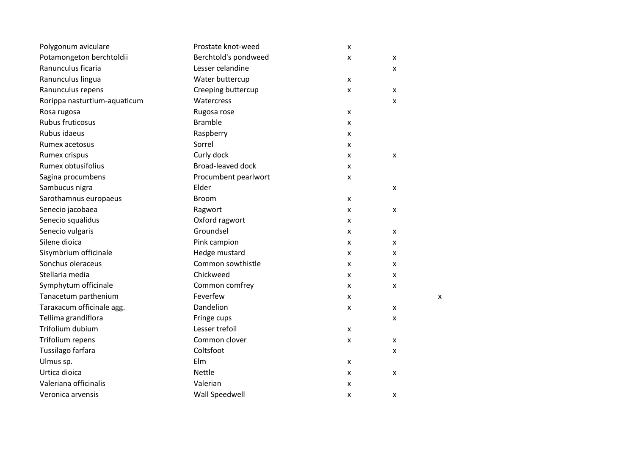| Polygonum aviculare          | Prostate knot-weed       | X |   |  |
|------------------------------|--------------------------|---|---|--|
| Potamongeton berchtoldii     | Berchtold's pondweed     | X | x |  |
| Ranunculus ficaria           | Lesser celandine         |   | x |  |
| Ranunculus lingua            | Water buttercup          | X |   |  |
| Ranunculus repens            | Creeping buttercup       | X | x |  |
| Rorippa nasturtium-aquaticum | Watercress               |   | x |  |
| Rosa rugosa                  | Rugosa rose              | X |   |  |
| Rubus fruticosus             | <b>Bramble</b>           | X |   |  |
| Rubus idaeus                 | Raspberry                | X |   |  |
| Rumex acetosus               | Sorrel                   | X |   |  |
| Rumex crispus                | Curly dock               | X | x |  |
| Rumex obtusifolius           | <b>Broad-leaved dock</b> | X |   |  |
| Sagina procumbens            | Procumbent pearlwort     | X |   |  |
| Sambucus nigra               | Elder                    |   | x |  |
| Sarothamnus europaeus        | <b>Broom</b>             | X |   |  |
| Senecio jacobaea             | Ragwort                  | X | x |  |
| Senecio squalidus            | Oxford ragwort           | X |   |  |
| Senecio vulgaris             | Groundsel                | X | x |  |
| Silene dioica                | Pink campion             | X | x |  |
| Sisymbrium officinale        | Hedge mustard            | X | x |  |
| Sonchus oleraceus            | Common sowthistle        | X | x |  |
| Stellaria media              | Chickweed                | X | x |  |
| Symphytum officinale         | Common comfrey           | X | x |  |
| Tanacetum parthenium         | Feverfew                 | X |   |  |
| Taraxacum officinale agg.    | Dandelion                | X | x |  |
| Tellima grandiflora          | Fringe cups              |   | x |  |
| Trifolium dubium             | Lesser trefoil           | X |   |  |
| Trifolium repens             | Common clover            | X | x |  |
| Tussilago farfara            | Coltsfoot                |   | x |  |
| Ulmus sp.                    | Elm                      | X |   |  |
| Urtica dioica                | Nettle                   | X | x |  |
| Valeriana officinalis        | Valerian                 | X |   |  |
| Veronica arvensis            | Wall Speedwell           | x | x |  |

x